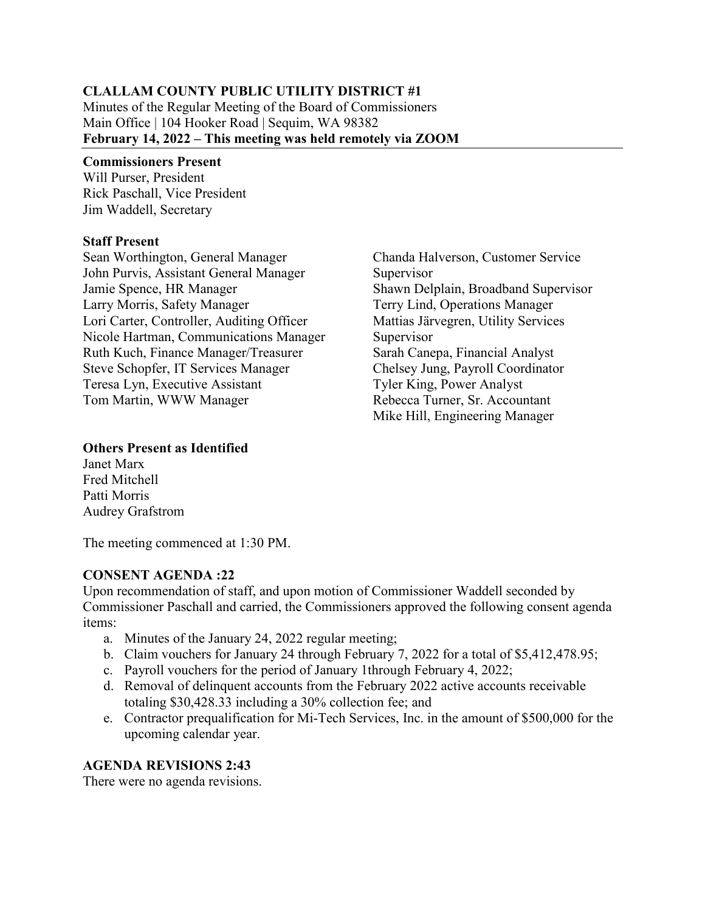# **CLALLAM COUNTY PUBLIC UTILITY DISTRICT #1**

Minutes of the Regular Meeting of the Board of Commissioners Main Office | 104 Hooker Road | Sequim, WA 98382 **February 14, 2022 – This meeting was held remotely via ZOOM** 

#### **Commissioners Present**

Will Purser, President Rick Paschall, Vice President Jim Waddell, Secretary

#### **Staff Present**

Sean Worthington, General Manager John Purvis, Assistant General Manager Jamie Spence, HR Manager Larry Morris, Safety Manager Lori Carter, Controller, Auditing Officer Nicole Hartman, Communications Manager Ruth Kuch, Finance Manager/Treasurer Steve Schopfer, IT Services Manager Teresa Lyn, Executive Assistant Tom Martin, WWW Manager

Chanda Halverson, Customer Service Supervisor Shawn Delplain, Broadband Supervisor Terry Lind, Operations Manager Mattias Järvegren, Utility Services Supervisor Sarah Canepa, Financial Analyst Chelsey Jung, Payroll Coordinator Tyler King, Power Analyst Rebecca Turner, Sr. Accountant Mike Hill, Engineering Manager

#### **Others Present as Identified**

Janet Marx Fred Mitchell Patti Morris Audrey Grafstrom

The meeting commenced at 1:30 PM.

# **CONSENT AGENDA :22**

Upon recommendation of staff, and upon motion of Commissioner Waddell seconded by Commissioner Paschall and carried, the Commissioners approved the following consent agenda items:

- a. Minutes of the January 24, 2022 regular meeting;
- b. Claim vouchers for January 24 through February 7, 2022 for a total of \$5,412,478.95;
- c. Payroll vouchers for the period of January 1through February 4, 2022;
- d. Removal of delinquent accounts from the February 2022 active accounts receivable totaling \$30,428.33 including a 30% collection fee; and
- e. Contractor prequalification for Mi-Tech Services, Inc. in the amount of \$500,000 for the upcoming calendar year.

# **AGENDA REVISIONS 2:43**

There were no agenda revisions.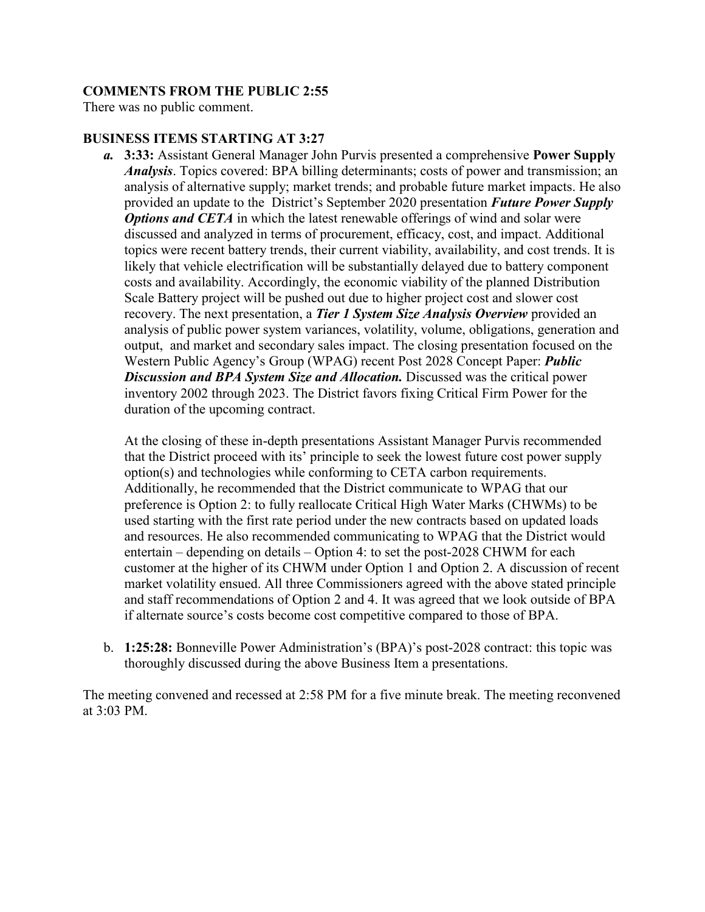# **COMMENTS FROM THE PUBLIC 2:55**

There was no public comment.

#### **BUSINESS ITEMS STARTING AT 3:27**

*a.* **3:33:** Assistant General Manager John Purvis presented a comprehensive **Power Supply** *Analysis*. Topics covered: BPA billing determinants; costs of power and transmission; an analysis of alternative supply; market trends; and probable future market impacts. He also provided an update to the District's September 2020 presentation *Future Power Supply Options and CETA* in which the latest renewable offerings of wind and solar were discussed and analyzed in terms of procurement, efficacy, cost, and impact. Additional topics were recent battery trends, their current viability, availability, and cost trends. It is likely that vehicle electrification will be substantially delayed due to battery component costs and availability. Accordingly, the economic viability of the planned Distribution Scale Battery project will be pushed out due to higher project cost and slower cost recovery. The next presentation, a *Tier 1 System Size Analysis Overview* provided an analysis of public power system variances, volatility, volume, obligations, generation and output, and market and secondary sales impact. The closing presentation focused on the Western Public Agency's Group (WPAG) recent Post 2028 Concept Paper: *Public*  **Discussion and BPA System Size and Allocation.** Discussed was the critical power inventory 2002 through 2023. The District favors fixing Critical Firm Power for the duration of the upcoming contract.

At the closing of these in-depth presentations Assistant Manager Purvis recommended that the District proceed with its' principle to seek the lowest future cost power supply option(s) and technologies while conforming to CETA carbon requirements. Additionally, he recommended that the District communicate to WPAG that our preference is Option 2: to fully reallocate Critical High Water Marks (CHWMs) to be used starting with the first rate period under the new contracts based on updated loads and resources. He also recommended communicating to WPAG that the District would entertain – depending on details – Option 4: to set the post-2028 CHWM for each customer at the higher of its CHWM under Option 1 and Option 2. A discussion of recent market volatility ensued. All three Commissioners agreed with the above stated principle and staff recommendations of Option 2 and 4. It was agreed that we look outside of BPA if alternate source's costs become cost competitive compared to those of BPA.

b. **1:25:28:** Bonneville Power Administration's (BPA)'s post-2028 contract: this topic was thoroughly discussed during the above Business Item a presentations.

The meeting convened and recessed at 2:58 PM for a five minute break. The meeting reconvened at 3:03 PM.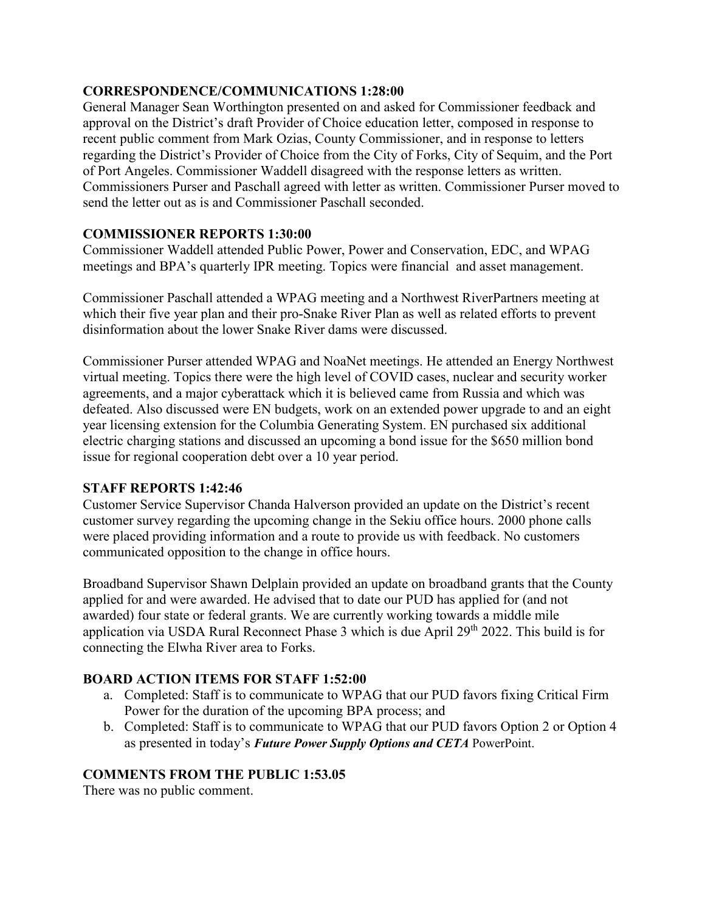# **CORRESPONDENCE/COMMUNICATIONS 1:28:00**

General Manager Sean Worthington presented on and asked for Commissioner feedback and approval on the District's draft Provider of Choice education letter, composed in response to recent public comment from Mark Ozias, County Commissioner, and in response to letters regarding the District's Provider of Choice from the City of Forks, City of Sequim, and the Port of Port Angeles. Commissioner Waddell disagreed with the response letters as written. Commissioners Purser and Paschall agreed with letter as written. Commissioner Purser moved to send the letter out as is and Commissioner Paschall seconded.

# **COMMISSIONER REPORTS 1:30:00**

Commissioner Waddell attended Public Power, Power and Conservation, EDC, and WPAG meetings and BPA's quarterly IPR meeting. Topics were financial and asset management.

Commissioner Paschall attended a WPAG meeting and a Northwest RiverPartners meeting at which their five year plan and their pro-Snake River Plan as well as related efforts to prevent disinformation about the lower Snake River dams were discussed.

Commissioner Purser attended WPAG and NoaNet meetings. He attended an Energy Northwest virtual meeting. Topics there were the high level of COVID cases, nuclear and security worker agreements, and a major cyberattack which it is believed came from Russia and which was defeated. Also discussed were EN budgets, work on an extended power upgrade to and an eight year licensing extension for the Columbia Generating System. EN purchased six additional electric charging stations and discussed an upcoming a bond issue for the \$650 million bond issue for regional cooperation debt over a 10 year period.

#### **STAFF REPORTS 1:42:46**

Customer Service Supervisor Chanda Halverson provided an update on the District's recent customer survey regarding the upcoming change in the Sekiu office hours. 2000 phone calls were placed providing information and a route to provide us with feedback. No customers communicated opposition to the change in office hours.

Broadband Supervisor Shawn Delplain provided an update on broadband grants that the County applied for and were awarded. He advised that to date our PUD has applied for (and not awarded) four state or federal grants. We are currently working towards a middle mile application via USDA Rural Reconnect Phase 3 which is due April 29<sup>th</sup> 2022. This build is for connecting the Elwha River area to Forks.

# **BOARD ACTION ITEMS FOR STAFF 1:52:00**

- a. Completed: Staff is to communicate to WPAG that our PUD favors fixing Critical Firm Power for the duration of the upcoming BPA process; and
- b. Completed: Staff is to communicate to WPAG that our PUD favors Option 2 or Option 4 as presented in today's *Future Power Supply Options and CETA* PowerPoint.

#### **COMMENTS FROM THE PUBLIC 1:53.05**

There was no public comment.